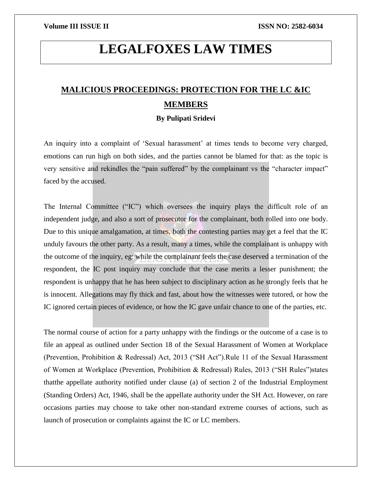# **LEGALFOXES LAW TIMES**

## **MALICIOUS PROCEEDINGS: PROTECTION FOR THE LC &IC MEMBERS**

### **By Pulipati Sridevi**

An inquiry into a complaint of 'Sexual harassment' at times tends to become very charged, emotions can run high on both sides, and the parties cannot be blamed for that: as the topic is very sensitive and rekindles the "pain suffered" by the complainant vs the "character impact" faced by the accused.

The Internal Committee ("IC") which oversees the inquiry plays the difficult role of an independent judge, and also a sort of prosecutor for the complainant, both rolled into one body. Due to this unique amalgamation, at times, both the contesting parties may get a feel that the IC unduly favours the other party. As a result, many a times, while the complainant is unhappy with the outcome of the inquiry, eg: while the complainant feels the case deserved a termination of the respondent, the IC post inquiry may conclude that the case merits a lesser punishment; the respondent is unhappy that he has been subject to disciplinary action as he strongly feels that he is innocent. Allegations may fly thick and fast, about how the witnesses were tutored, or how the IC ignored certain pieces of evidence, or how the IC gave unfair chance to one of the parties, etc.

The normal course of action for a party unhappy with the findings or the outcome of a case is to file an appeal as outlined under Section 18 of the Sexual Harassment of Women at Workplace (Prevention, Prohibition & Redressal) Act, 2013 ("SH Act").Rule 11 of the Sexual Harassment of Women at Workplace (Prevention, Prohibition & Redressal) Rules, 2013 ("SH Rules")states thatthe appellate authority notified under clause (a) of section 2 of the Industrial Employment (Standing Orders) Act, 1946, shall be the appellate authority under the SH Act. However, on rare occasions parties may choose to take other non-standard extreme courses of actions, such as launch of prosecution or complaints against the IC or LC members.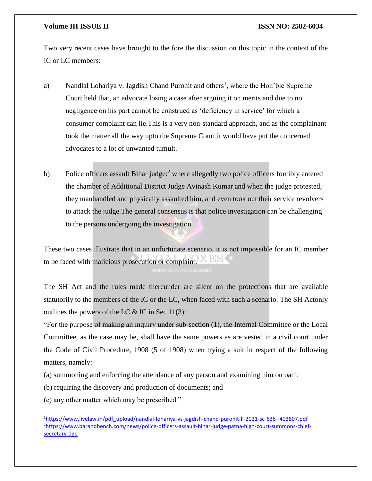### **Volume III ISSUE II ISSN NO: 2582-6034**

Two very recent cases have brought to the fore the discussion on this topic in the context of the IC or LC members:

- a) Nandlal Lohariya v. Jagdish Chand Purohit and others<sup>1</sup>, where the Hon'ble Supreme Court held that, an advocate losing a case after arguing it on merits and due to no negligence on his part cannot be construed as 'deficiency in service' for which a consumer complaint can lie.This is a very non-standard approach, and as the complainant took the matter all the way upto the Supreme Court,it would have put the concerned advocates to a lot of unwanted tumult.
- b) Police officers assault Bihar judge:<sup>2</sup> where allegedly two police officers forcibly entered the chamber of Additional District Judge Avinash Kumar and when the judge protested, they manhandled and physically assaulted him, and even took out their service revolvers to attack the judge.The general consensus is that police investigation can be challenging to the persons undergoing the investigation.

These two cases illustrate that in an unfortunate scenario, it is not impossible for an IC member to be faced with malicious prosecution or complaint.

The SH Act and the rules made thereunder are silent on the protections that are available statutorily to the members of the IC or the LC, when faced with such a scenario. The SH Actonly outlines the powers of the LC  $\&$  IC in Sec 11(3):

"For the purpose of making an inquiry under sub-section (1), the Internal Committee or the Local Committee, as the case may be, shall have the same powers as are vested in a civil court under the Code of Civil Procedure, 1908 (5 of 1908) when trying a suit in respect of the following matters, namely:-

(a) summoning and enforcing the attendance of any person and examining him on oath;

(b) requiring the discovery and production of documents; and

(c) any other matter which may be prescribed."

 $\overline{a}$ 

<sup>1</sup>[https://www.livelaw.in/pdf\\_upload/nandlal-lohariya-vs-jagdish-chand-purohit-ll-2021-sc-636--403807.pdf](https://www.livelaw.in/pdf_upload/nandlal-lohariya-vs-jagdish-chand-purohit-ll-2021-sc-636--403807.pdf) 2[https://www.barandbench.com/news/police-officers-assault-bihar-judge-patna-high-court-summons-chief](https://www.barandbench.com/news/police-officers-assault-bihar-judge-patna-high-court-summons-chief-secretary-dgp)[secretary-dgp](https://www.barandbench.com/news/police-officers-assault-bihar-judge-patna-high-court-summons-chief-secretary-dgp)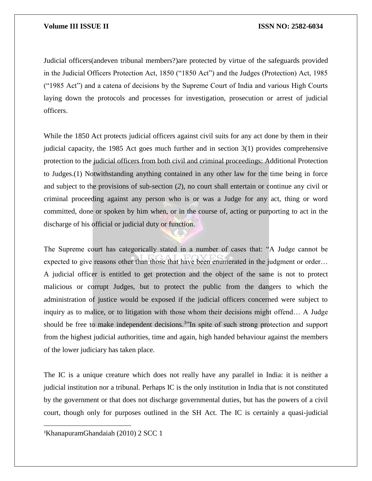### **Volume III ISSUE II ISSUE II ISSN NO:** 2582-6034

Judicial officers(andeven tribunal members?)are protected by virtue of the safeguards provided in the Judicial Officers Protection Act, 1850 ("1850 Act") and the Judges (Protection) Act, 1985 ("1985 Act") and a catena of decisions by the Supreme Court of India and various High Courts laying down the protocols and processes for investigation, prosecution or arrest of judicial officers.

While the 1850 Act protects judicial officers against civil suits for any act done by them in their judicial capacity, the 1985 Act goes much further and in section 3(1) provides comprehensive protection to the judicial officers from both civil and criminal proceedings: Additional Protection to Judges.(1) Notwithstanding anything contained in any other law for the time being in force and subject to the provisions of sub-section (*2*), no court shall entertain or continue any civil or criminal proceeding against any person who is or was a Judge for any act, thing or word committed, done or spoken by him when, or in the course of, acting or purporting to act in the discharge of his official or judicial duty or function.

The Supreme court has categorically stated in a number of cases that: "A Judge cannot be expected to give reasons other than those that have been enumerated in the judgment or order… A judicial officer is entitled to get protection and the object of the same is not to protect malicious or corrupt Judges, but to protect the public from the dangers to which the administration of justice would be exposed if the judicial officers concerned were subject to inquiry as to malice, or to litigation with those whom their decisions might offend… A Judge should be free to make independent decisions.<sup>3</sup>"In spite of such strong protection and support from the highest judicial authorities, time and again, high handed behaviour against the members of the lower judiciary has taken place.

The IC is a unique creature which does not really have any parallel in India: it is neither a judicial institution nor a tribunal. Perhaps IC is the only institution in India that is not constituted by the government or that does not discharge governmental duties, but has the powers of a civil court, though only for purposes outlined in the SH Act. The IC is certainly a quasi-judicial

3KhanapuramGhandaiah (2010) 2 SCC 1

 $\overline{\phantom{a}}$